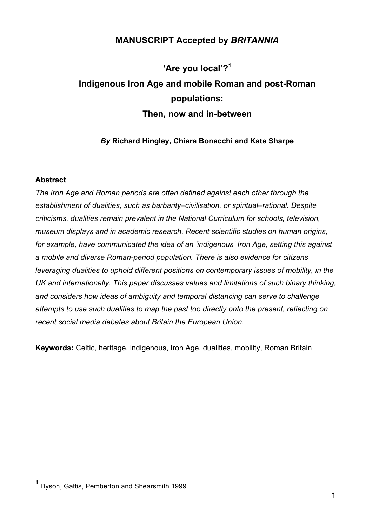# **MANUSCRIPT Accepted by** *BRITANNIA*

# **'Are you local'?<sup>1</sup> Indigenous Iron Age and mobile Roman and post-Roman populations: Then, now and in-between**

# *By* **Richard Hingley, Chiara Bonacchi and Kate Sharpe**

## **Abstract**

*The Iron Age and Roman periods are often defined against each other through the establishment of dualities, such as barbarity–civilisation, or spiritual–rational. Despite criticisms, dualities remain prevalent in the National Curriculum for schools, television, museum displays and in academic research. Recent scientific studies on human origins, for example, have communicated the idea of an 'indigenous' Iron Age, setting this against a mobile and diverse Roman-period population. There is also evidence for citizens leveraging dualities to uphold different positions on contemporary issues of mobility, in the UK and internationally. This paper discusses values and limitations of such binary thinking, and considers how ideas of ambiguity and temporal distancing can serve to challenge attempts to use such dualities to map the past too directly onto the present, reflecting on recent social media debates about Britain the European Union.*

**Keywords:** Celtic, heritage, indigenous, Iron Age, dualities, mobility, Roman Britain

**<sup>1</sup>** Dyson, Gattis, Pemberton and Shearsmith 1999.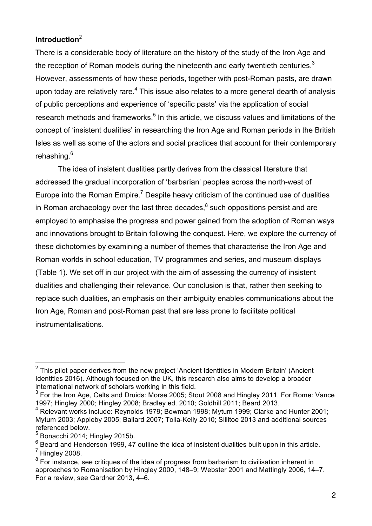# **Introduction**<sup>2</sup>

There is a considerable body of literature on the history of the study of the Iron Age and the reception of Roman models during the nineteenth and early twentieth centuries.<sup>3</sup> However, assessments of how these periods, together with post-Roman pasts, are drawn upon today are relatively rare.<sup>4</sup> This issue also relates to a more general dearth of analysis of public perceptions and experience of 'specific pasts' via the application of social research methods and frameworks. $<sup>5</sup>$  In this article, we discuss values and limitations of the</sup> concept of 'insistent dualities' in researching the Iron Age and Roman periods in the British Isles as well as some of the actors and social practices that account for their contemporary rehashing.<sup>6</sup>

The idea of insistent dualities partly derives from the classical literature that addressed the gradual incorporation of 'barbarian' peoples across the north-west of Europe into the Roman Empire.<sup>7</sup> Despite heavy criticism of the continued use of dualities in Roman archaeology over the last three decades, $8$  such oppositions persist and are employed to emphasise the progress and power gained from the adoption of Roman ways and innovations brought to Britain following the conquest. Here, we explore the currency of these dichotomies by examining a number of themes that characterise the Iron Age and Roman worlds in school education, TV programmes and series, and museum displays (Table 1). We set off in our project with the aim of assessing the currency of insistent dualities and challenging their relevance. Our conclusion is that, rather then seeking to replace such dualities, an emphasis on their ambiguity enables communications about the Iron Age, Roman and post-Roman past that are less prone to facilitate political instrumentalisations.

 $2$  This pilot paper derives from the new project 'Ancient Identities in Modern Britain' (Ancient Identities 2016). Although focused on the UK, this research also aims to develop a broader international network of scholars working in this field.

 $3$  For the Iron Age, Celts and Druids: Morse 2005; Stout 2008 and Hingley 2011. For Rome: Vance 1997; Hingley 2000; Hingley 2008; Bradley ed. 2010; Goldhill 2011; Beard 2013.

<sup>4</sup> Relevant works include: Reynolds 1979; Bowman 1998; Mytum 1999; Clarke and Hunter 2001; Mytum 2003; Appleby 2005; Ballard 2007; Tolia-Kelly 2010; Sillitoe 2013 and additional sources referenced below.

 $^5$  Bonacchi 2014; Hingley 2015b.

<sup>6</sup> Beard and Henderson 1999, 47 outline the idea of insistent dualities built upon in this article.

<sup>7</sup> Hingley 2008.

 $8$  For instance, see critiques of the idea of progress from barbarism to civilisation inherent in approaches to Romanisation by Hingley 2000, 148–9; Webster 2001 and Mattingly 2006, 14–7. For a review, see Gardner 2013, 4–6.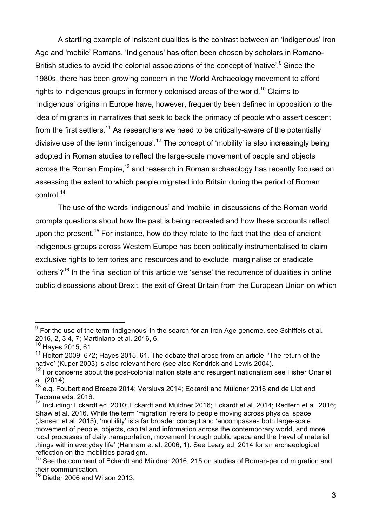A startling example of insistent dualities is the contrast between an 'indigenous' Iron Age and 'mobile' Romans. 'Indigenous' has often been chosen by scholars in Romano-British studies to avoid the colonial associations of the concept of 'native'.<sup>9</sup> Since the 1980s, there has been growing concern in the World Archaeology movement to afford rights to indigenous groups in formerly colonised areas of the world.<sup>10</sup> Claims to 'indigenous' origins in Europe have, however, frequently been defined in opposition to the idea of migrants in narratives that seek to back the primacy of people who assert descent from the first settlers.<sup>11</sup> As researchers we need to be critically-aware of the potentially divisive use of the term 'indigenous'.<sup>12</sup> The concept of 'mobility' is also increasingly being adopted in Roman studies to reflect the large-scale movement of people and objects across the Roman Empire,<sup>13</sup> and research in Roman archaeology has recently focused on assessing the extent to which people migrated into Britain during the period of Roman control.<sup>14</sup>

The use of the words 'indigenous' and 'mobile' in discussions of the Roman world prompts questions about how the past is being recreated and how these accounts reflect upon the present.<sup>15</sup> For instance, how do they relate to the fact that the idea of ancient indigenous groups across Western Europe has been politically instrumentalised to claim exclusive rights to territories and resources and to exclude, marginalise or eradicate 'others'?<sup>16</sup> In the final section of this article we 'sense' the recurrence of dualities in online public discussions about Brexit, the exit of Great Britain from the European Union on which

 $9$  For the use of the term 'indigenous' in the search for an Iron Age genome, see Schiffels et al. 2016, 2, 3 4, 7; Martiniano et al. 2016, 6.<br><sup>10</sup> Haves 2015, 61.

 $11$  Holtorf 2009, 672; Hayes 2015, 61. The debate that arose from an article. 'The return of the native' (Kuper 2003) is also relevant here (see also Kendrick and Lewis 2004).

 $12$  For concerns about the post-colonial nation state and resurgent nationalism see Fisher Onar et al. (2014).

<sup>&</sup>lt;sup>13</sup> e.g. Foubert and Breeze 2014; Versluys 2014; Eckardt and Müldner 2016 and de Ligt and Tacoma eds. 2016.

<sup>&</sup>lt;sup>14</sup> Including: Eckardt ed. 2010; Eckardt and Müldner 2016; Eckardt et al. 2014; Redfern et al. 2016; Shaw et al. 2016. While the term 'migration' refers to people moving across physical space (Jansen et al. 2015), 'mobility' is a far broader concept and 'encompasses both large-scale movement of people, objects, capital and information across the contemporary world, and more local processes of daily transportation, movement through public space and the travel of material things within everyday life' (Hannam et al. 2006, 1). See Leary ed. 2014 for an archaeological reflection on the mobilities paradigm.

<sup>&</sup>lt;sup>15</sup> See the comment of Eckardt and Müldner 2016, 215 on studies of Roman-period migration and their communication.

<sup>&</sup>lt;sup>16</sup> Dietler 2006 and Wilson 2013.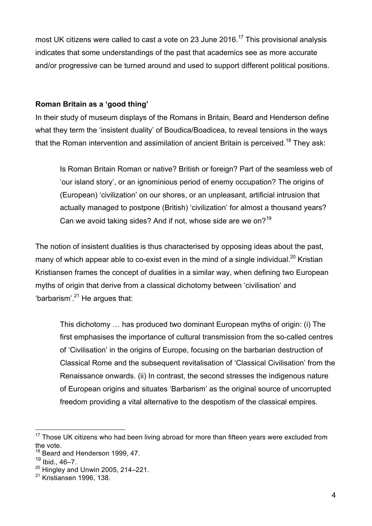most UK citizens were called to cast a vote on 23 June 2016.<sup>17</sup> This provisional analysis indicates that some understandings of the past that academics see as more accurate and/or progressive can be turned around and used to support different political positions.

# **Roman Britain as a 'good thing'**

In their study of museum displays of the Romans in Britain, Beard and Henderson define what they term the 'insistent duality' of Boudica/Boadicea, to reveal tensions in the ways that the Roman intervention and assimilation of ancient Britain is perceived.<sup>18</sup> They ask:

Is Roman Britain Roman or native? British or foreign? Part of the seamless web of 'our island story', or an ignominious period of enemy occupation? The origins of (European) 'civilization' on our shores, or an unpleasant, artificial intrusion that actually managed to postpone (British) 'civilization' for almost a thousand years? Can we avoid taking sides? And if not, whose side are we on?<sup>19</sup>

The notion of insistent dualities is thus characterised by opposing ideas about the past, many of which appear able to co-exist even in the mind of a single individual.<sup>20</sup> Kristian Kristiansen frames the concept of dualities in a similar way, when defining two European myths of origin that derive from a classical dichotomy between 'civilisation' and 'barbarism'. $21$  He argues that:

This dichotomy … has produced two dominant European myths of origin: (i) The first emphasises the importance of cultural transmission from the so-called centres of 'Civilisation' in the origins of Europe, focusing on the barbarian destruction of Classical Rome and the subsequent revitalisation of 'Classical Civilisation' from the Renaissance onwards. (ii) In contrast, the second stresses the indigenous nature of European origins and situates 'Barbarism' as the original source of uncorrupted freedom providing a vital alternative to the despotism of the classical empires.

 $\overline{a}$ 

 $17$  Those UK citizens who had been living abroad for more than fifteen years were excluded from the vote.

<sup>&</sup>lt;sup>18</sup> Beard and Henderson 1999, 47.

<sup>19</sup> Ibid., 46–7.

 $20$  Hingley and Unwin 2005, 214–221.

 $21$  Kristiansen 1996, 138.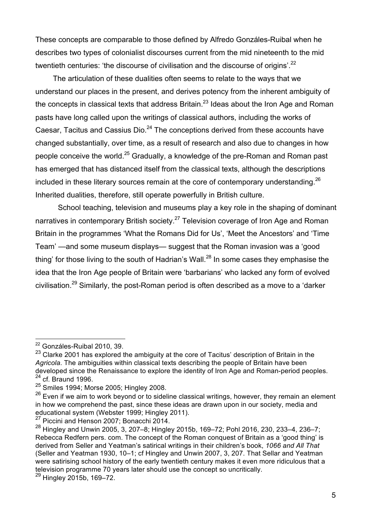These concepts are comparable to those defined by Alfredo Gonzáles-Ruibal when he describes two types of colonialist discourses current from the mid nineteenth to the mid twentieth centuries: 'the discourse of civilisation and the discourse of origins'.<sup>22</sup>

The articulation of these dualities often seems to relate to the ways that we understand our places in the present, and derives potency from the inherent ambiguity of the concepts in classical texts that address Britain.<sup>23</sup> Ideas about the Iron Age and Roman pasts have long called upon the writings of classical authors, including the works of Caesar, Tacitus and Cassius Dio.<sup>24</sup> The conceptions derived from these accounts have changed substantially, over time, as a result of research and also due to changes in how people conceive the world.<sup>25</sup> Gradually, a knowledge of the pre-Roman and Roman past has emerged that has distanced itself from the classical texts, although the descriptions included in these literary sources remain at the core of contemporary understanding. $^{26}$ Inherited dualities, therefore, still operate powerfully in British culture.

School teaching, television and museums play a key role in the shaping of dominant narratives in contemporary British society.<sup>27</sup> Television coverage of Iron Age and Roman Britain in the programmes 'What the Romans Did for Us', 'Meet the Ancestors' and 'Time Team' —and some museum displays— suggest that the Roman invasion was a 'good thing' for those living to the south of Hadrian's Wall.<sup>28</sup> In some cases they emphasise the idea that the Iron Age people of Britain were 'barbarians' who lacked any form of evolved civilisation.<sup>29</sup> Similarly, the post-Roman period is often described as a move to a 'darker

<sup>22</sup> Gonzáles-Ruibal 2010, 39.

 $23$  Clarke 2001 has explored the ambiguity at the core of Tacitus' description of Britain in the *Agricola*. The ambiguities within classical texts describing the people of Britain have been developed since the Renaissance to explore the identity of Iron Age and Roman-period peoples.<br><sup>24</sup> cf. Braund 1996.

 $25$  Smiles 1994; Morse 2005; Hingley 2008.

<sup>&</sup>lt;sup>26</sup> Even if we aim to work beyond or to sideline classical writings, however, they remain an element in how we comprehend the past, since these ideas are drawn upon in our society, media and educational system (Webster 1999; Hingley 2011).

<sup>&</sup>lt;sup>27</sup> Piccini and Henson 2007; Bonacchi 2014.

<sup>28</sup> Hingley and Unwin 2005, 3, 207–8; Hingley 2015b, 169–72; Pohl 2016, 230, 233–4, 236–7; Rebecca Redfern pers. com. The concept of the Roman conquest of Britain as a 'good thing' is derived from Seller and Yeatman's satirical writings in their children's book, *1066 and All That* (Seller and Yeatman 1930, 10–1; cf Hingley and Unwin 2007, 3, 207. That Sellar and Yeatman were satirising school history of the early twentieth century makes it even more ridiculous that a television programme 70 years later should use the concept so uncritically.<br><sup>29</sup> Hingley 2015b, 169–72.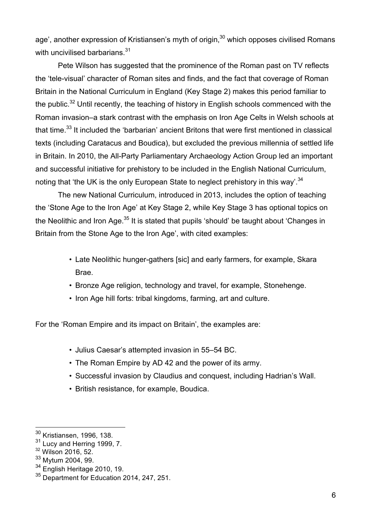age', another expression of Kristiansen's myth of origin,<sup>30</sup> which opposes civilised Romans with uncivilised barbarians.<sup>31</sup>

Pete Wilson has suggested that the prominence of the Roman past on TV reflects the 'tele-visual' character of Roman sites and finds, and the fact that coverage of Roman Britain in the National Curriculum in England (Key Stage 2) makes this period familiar to the public.<sup>32</sup> Until recently, the teaching of history in English schools commenced with the Roman invasion–a stark contrast with the emphasis on Iron Age Celts in Welsh schools at that time.<sup>33</sup> It included the 'barbarian' ancient Britons that were first mentioned in classical texts (including Caratacus and Boudica), but excluded the previous millennia of settled life in Britain. In 2010, the All-Party Parliamentary Archaeology Action Group led an important and successful initiative for prehistory to be included in the English National Curriculum, noting that 'the UK is the only European State to neglect prehistory in this way'.<sup>34</sup>

The new National Curriculum, introduced in 2013, includes the option of teaching the 'Stone Age to the Iron Age' at Key Stage 2, while Key Stage 3 has optional topics on the Neolithic and Iron Age. $35$  It is stated that pupils 'should' be taught about 'Changes in Britain from the Stone Age to the Iron Age', with cited examples:

- Late Neolithic hunger-gathers [sic] and early farmers, for example, Skara Brae.
- Bronze Age religion, technology and travel, for example, Stonehenge.
- Iron Age hill forts: tribal kingdoms, farming, art and culture.

For the 'Roman Empire and its impact on Britain', the examples are:

- Julius Caesar's attempted invasion in 55–54 BC.
- The Roman Empire by AD 42 and the power of its army.
- Successful invasion by Claudius and conquest, including Hadrian's Wall.
- British resistance, for example, Boudica.

 $30$  Kristiansen, 1996, 138.<br> $31$  Lucy and Herring 1999, 7.

<sup>32</sup> Wilson 2016, 52.

<sup>33</sup> Mytum 2004, 99.

<sup>34</sup> English Heritage 2010, 19.

<sup>&</sup>lt;sup>35</sup> Department for Education 2014, 247, 251.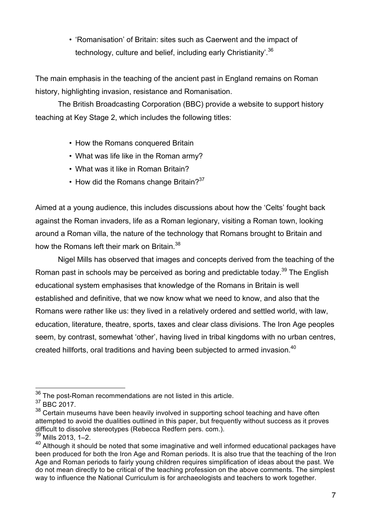• 'Romanisation' of Britain: sites such as Caerwent and the impact of technology, culture and belief, including early Christianity'.<sup>36</sup>

The main emphasis in the teaching of the ancient past in England remains on Roman history, highlighting invasion, resistance and Romanisation.

The British Broadcasting Corporation (BBC) provide a website to support history teaching at Key Stage 2, which includes the following titles:

- How the Romans conquered Britain
- What was life like in the Roman army?
- What was it like in Roman Britain?
- How did the Romans change Britain? $37$

Aimed at a young audience, this includes discussions about how the 'Celts' fought back against the Roman invaders, life as a Roman legionary, visiting a Roman town, looking around a Roman villa, the nature of the technology that Romans brought to Britain and how the Romans left their mark on Britain.<sup>38</sup>

Nigel Mills has observed that images and concepts derived from the teaching of the Roman past in schools may be perceived as boring and predictable today.<sup>39</sup> The English educational system emphasises that knowledge of the Romans in Britain is well established and definitive, that we now know what we need to know, and also that the Romans were rather like us: they lived in a relatively ordered and settled world, with law, education, literature, theatre, sports, taxes and clear class divisions. The Iron Age peoples seem, by contrast, somewhat 'other', having lived in tribal kingdoms with no urban centres, created hillforts, oral traditions and having been subjected to armed invasion.<sup>40</sup>

 $36$  The post-Roman recommendations are not listed in this article.

<sup>37</sup> BBC 2017.

<sup>&</sup>lt;sup>38</sup> Certain museums have been heavily involved in supporting school teaching and have often attempted to avoid the dualities outlined in this paper, but frequently without success as it proves difficult to dissolve stereotypes (Rebecca Redfern pers. com.).

 $39$  Mills 2013, 1-2.

<sup>40</sup> Although it should be noted that some imaginative and well informed educational packages have been produced for both the Iron Age and Roman periods. It is also true that the teaching of the Iron Age and Roman periods to fairly young children requires simplification of ideas about the past. We do not mean directly to be critical of the teaching profession on the above comments. The simplest way to influence the National Curriculum is for archaeologists and teachers to work together.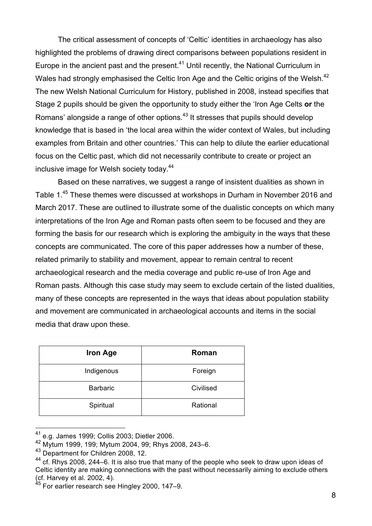The critical assessment of concepts of 'Celtic' identities in archaeology has also highlighted the problems of drawing direct comparisons between populations resident in Europe in the ancient past and the present.<sup>41</sup> Until recently, the National Curriculum in Wales had strongly emphasised the Celtic Iron Age and the Celtic origins of the Welsh.<sup>42</sup> The new Welsh National Curriculum for History, published in 2008, instead specifies that Stage 2 pupils should be given the opportunity to study either the 'Iron Age Celts **or** the Romans' alongside a range of other options.<sup>43</sup> It stresses that pupils should develop knowledge that is based in 'the local area within the wider context of Wales, but including examples from Britain and other countries.' This can help to dilute the earlier educational focus on the Celtic past, which did not necessarily contribute to create or project an inclusive image for Welsh society today.<sup>44</sup>

Based on these narratives, we suggest a range of insistent dualities as shown in Table 1.<sup>45</sup> These themes were discussed at workshops in Durham in November 2016 and March 2017. These are outlined to illustrate some of the dualistic concepts on which many interpretations of the Iron Age and Roman pasts often seem to be focused and they are forming the basis for our research which is exploring the ambiguity in the ways that these concepts are communicated. The core of this paper addresses how a number of these, related primarily to stability and movement, appear to remain central to recent archaeological research and the media coverage and public re-use of Iron Age and Roman pasts. Although this case study may seem to exclude certain of the listed dualities, many of these concepts are represented in the ways that ideas about population stability and movement are communicated in archaeological accounts and items in the social media that draw upon these.

| <b>Iron Age</b> | Roman     |
|-----------------|-----------|
| Indigenous      | Foreign   |
| <b>Barbaric</b> | Civilised |
| Spiritual       | Rational  |

<sup>41</sup> e.g. James 1999; Collis 2003; Dietler 2006.

<sup>42</sup> Mytum 1999, 199; Mytum 2004, 99; Rhys 2008, 243–6.

<sup>43</sup> Department for Children 2008, 12.

 $44$  cf. Rhys 2008, 244–6. It is also true that many of the people who seek to draw upon ideas of Celtic identity are making connections with the past without necessarily aiming to exclude others (cf. Harvey et al. 2002, 4).

<sup>&</sup>lt;sup>45</sup> For earlier research see Hingley 2000, 147–9.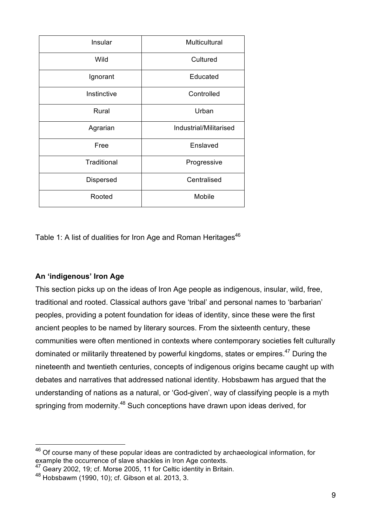| Insular          | Multicultural          |
|------------------|------------------------|
| Wild             | Cultured               |
| Ignorant         | Educated               |
| Instinctive      | Controlled             |
| Rural            | Urban                  |
| Agrarian         | Industrial/Militarised |
| Free             | Enslaved               |
| Traditional      | Progressive            |
| <b>Dispersed</b> | Centralised            |
| Rooted           | Mobile                 |

Table 1: A list of dualities for Iron Age and Roman Heritages<sup>46</sup>

# **An 'indigenous' Iron Age**

This section picks up on the ideas of Iron Age people as indigenous, insular, wild, free, traditional and rooted. Classical authors gave 'tribal' and personal names to 'barbarian' peoples, providing a potent foundation for ideas of identity, since these were the first ancient peoples to be named by literary sources. From the sixteenth century, these communities were often mentioned in contexts where contemporary societies felt culturally dominated or militarily threatened by powerful kingdoms, states or empires.<sup>47</sup> During the nineteenth and twentieth centuries, concepts of indigenous origins became caught up with debates and narratives that addressed national identity. Hobsbawm has argued that the understanding of nations as a natural, or 'God-given', way of classifying people is a myth springing from modernity.<sup>48</sup> Such conceptions have drawn upon ideas derived, for

 $46$  Of course many of these popular ideas are contradicted by archaeological information, for example the occurrence of slave shackles in Iron Age contexts.

<sup>47</sup> Geary 2002, 19; cf. Morse 2005, 11 for Celtic identity in Britain.

<sup>48</sup> Hobsbawm (1990, 10); cf. Gibson et al. 2013, 3.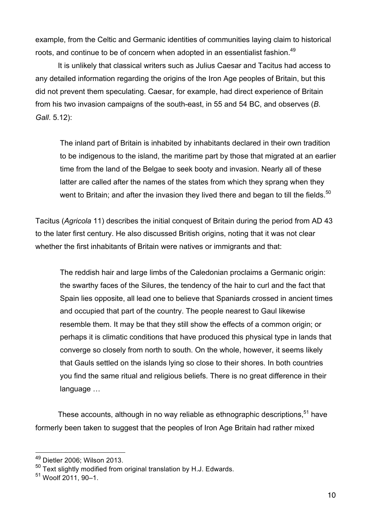example, from the Celtic and Germanic identities of communities laying claim to historical roots, and continue to be of concern when adopted in an essentialist fashion.<sup>49</sup>

It is unlikely that classical writers such as Julius Caesar and Tacitus had access to any detailed information regarding the origins of the Iron Age peoples of Britain, but this did not prevent them speculating. Caesar, for example, had direct experience of Britain from his two invasion campaigns of the south-east, in 55 and 54 BC, and observes (*B. Gall*. 5.12):

The inland part of Britain is inhabited by inhabitants declared in their own tradition to be indigenous to the island, the maritime part by those that migrated at an earlier time from the land of the Belgae to seek booty and invasion. Nearly all of these latter are called after the names of the states from which they sprang when they went to Britain; and after the invasion they lived there and began to till the fields.<sup>50</sup>

Tacitus (*Agricola* 11) describes the initial conquest of Britain during the period from AD 43 to the later first century. He also discussed British origins, noting that it was not clear whether the first inhabitants of Britain were natives or immigrants and that:

The reddish hair and large limbs of the Caledonian proclaims a Germanic origin: the swarthy faces of the Silures, the tendency of the hair to curl and the fact that Spain lies opposite, all lead one to believe that Spaniards crossed in ancient times and occupied that part of the country. The people nearest to Gaul likewise resemble them. It may be that they still show the effects of a common origin; or perhaps it is climatic conditions that have produced this physical type in lands that converge so closely from north to south. On the whole, however, it seems likely that Gauls settled on the islands lying so close to their shores. In both countries you find the same ritual and religious beliefs. There is no great difference in their language …

These accounts, although in no way reliable as ethnographic descriptions,  $51$  have formerly been taken to suggest that the peoples of Iron Age Britain had rather mixed

 $^{49}$  Dietler 2006; Wilson 2013.<br><sup>50</sup> Text slightly modified from original translation by H.J. Edwards.

<sup>51</sup> Woolf 2011, 90–1.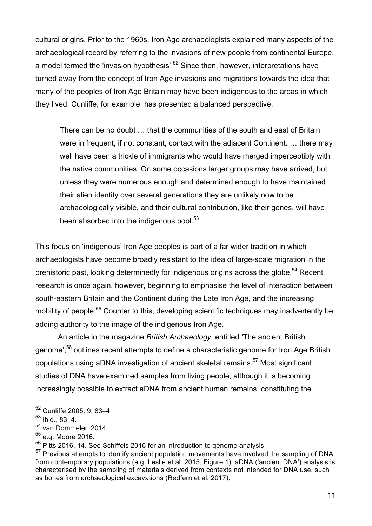cultural origins. Prior to the 1960s, Iron Age archaeologists explained many aspects of the archaeological record by referring to the invasions of new people from continental Europe, a model termed the 'invasion hypothesis'.<sup>52</sup> Since then, however, interpretations have turned away from the concept of Iron Age invasions and migrations towards the idea that many of the peoples of Iron Age Britain may have been indigenous to the areas in which they lived. Cunliffe, for example, has presented a balanced perspective:

There can be no doubt … that the communities of the south and east of Britain were in frequent, if not constant, contact with the adjacent Continent. … there may well have been a trickle of immigrants who would have merged imperceptibly with the native communities. On some occasions larger groups may have arrived, but unless they were numerous enough and determined enough to have maintained their alien identity over several generations they are unlikely now to be archaeologically visible, and their cultural contribution, like their genes, will have been absorbed into the indigenous pool. $53$ 

This focus on 'indigenous' Iron Age peoples is part of a far wider tradition in which archaeologists have become broadly resistant to the idea of large-scale migration in the prehistoric past, looking determinedly for indigenous origins across the globe.<sup>54</sup> Recent research is once again, however, beginning to emphasise the level of interaction between south-eastern Britain and the Continent during the Late Iron Age, and the increasing mobility of people.<sup>55</sup> Counter to this, developing scientific techniques may inadvertently be adding authority to the image of the indigenous Iron Age.

An article in the magazine *British Archaeology*, entitled 'The ancient British genome',<sup>56</sup> outlines recent attempts to define a characteristic genome for Iron Age British populations using aDNA investigation of ancient skeletal remains.<sup>57</sup> Most significant studies of DNA have examined samples from living people, although it is becoming increasingly possible to extract aDNA from ancient human remains, constituting the

<sup>52</sup> Cunliffe 2005, 9, 83–4.

 $53$  Ibid., 83–4.<br> $54$  van Dommelen 2014.

 $55$  e.g. Moore 2016.<br> $56$  Pitts 2016, 14. See Schiffels 2016 for an introduction to genome analysis.

 $57$  Previous attempts to identify ancient population movements have involved the sampling of DNA from contemporary populations (e.g. Leslie et al. 2015, Figure 1). aDNA ('ancient DNA') analysis is characterised by the sampling of materials derived from contexts not intended for DNA use, such as bones from archaeological excavations (Redfern et al. 2017).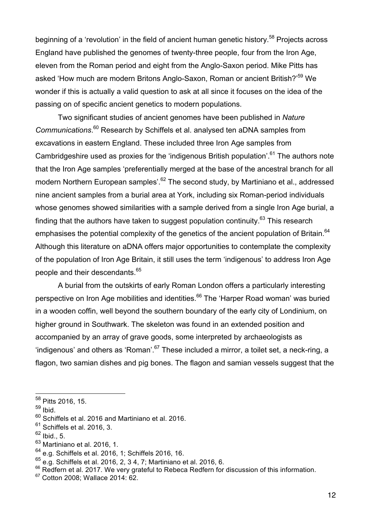beginning of a 'revolution' in the field of ancient human genetic history.<sup>58</sup> Projects across England have published the genomes of twenty-three people, four from the Iron Age, eleven from the Roman period and eight from the Anglo-Saxon period. Mike Pitts has asked 'How much are modern Britons Anglo-Saxon, Roman or ancient British?'<sup>59</sup> We wonder if this is actually a valid question to ask at all since it focuses on the idea of the passing on of specific ancient genetics to modern populations.

Two significant studies of ancient genomes have been published in *Nature Communications*. <sup>60</sup> Research by Schiffels et al. analysed ten aDNA samples from excavations in eastern England. These included three Iron Age samples from Cambridgeshire used as proxies for the 'indigenous British population'.<sup>61</sup> The authors note that the Iron Age samples 'preferentially merged at the base of the ancestral branch for all modern Northern European samples<sup>'.62</sup> The second study, by Martiniano et al., addressed nine ancient samples from a burial area at York, including six Roman-period individuals whose genomes showed similarities with a sample derived from a single Iron Age burial, a finding that the authors have taken to suggest population continuity. $63$  This research emphasises the potential complexity of the genetics of the ancient population of Britain.<sup>64</sup> Although this literature on aDNA offers major opportunities to contemplate the complexity of the population of Iron Age Britain, it still uses the term 'indigenous' to address Iron Age people and their descendants.<sup>65</sup>

A burial from the outskirts of early Roman London offers a particularly interesting perspective on Iron Age mobilities and identities.<sup>66</sup> The 'Harper Road woman' was buried in a wooden coffin, well beyond the southern boundary of the early city of Londinium, on higher ground in Southwark. The skeleton was found in an extended position and accompanied by an array of grave goods, some interpreted by archaeologists as 'indigenous' and others as 'Roman'. $67$  These included a mirror, a toilet set, a neck-ring, a flagon, two samian dishes and pig bones. The flagon and samian vessels suggest that the

<sup>58</sup> Pitts 2016, 15.

 $59$  Ibid.

 $60$  Schiffels et al. 2016 and Martiniano et al. 2016.

 $^{61}$  Schiffels et al. 2016, 3.<br> $^{62}$  Ibid., 5.<br> $^{63}$  Martiniano et al. 2016, 1.

 $^{64}$  e.g. Schiffels et al. 2016, 1; Schiffels 2016, 16.<br> $^{65}$  e.g. Schiffels et al. 2016, 2, 3 4, 7; Martiniano et al. 2016, 6.

 $66$  Redfern et al. 2017. We very grateful to Rebeca Redfern for discussion of this information.

<sup>67</sup> Cotton 2008; Wallace 2014: 62.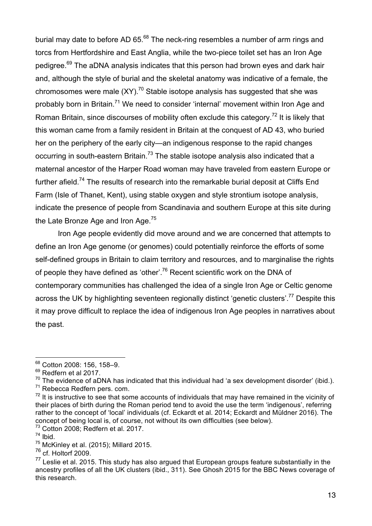burial may date to before AD 65.<sup>68</sup> The neck-ring resembles a number of arm rings and torcs from Hertfordshire and East Anglia, while the two-piece toilet set has an Iron Age pedigree.69 The aDNA analysis indicates that this person had brown eyes and dark hair and, although the style of burial and the skeletal anatomy was indicative of a female, the chromosomes were male  $(XY)$ .<sup>70</sup> Stable isotope analysis has suggested that she was probably born in Britain.<sup>71</sup> We need to consider 'internal' movement within Iron Age and Roman Britain, since discourses of mobility often exclude this category.<sup>72</sup> It is likely that this woman came from a family resident in Britain at the conquest of AD 43, who buried her on the periphery of the early city—an indigenous response to the rapid changes occurring in south-eastern Britain.<sup>73</sup> The stable isotope analysis also indicated that a maternal ancestor of the Harper Road woman may have traveled from eastern Europe or further afield.<sup>74</sup> The results of research into the remarkable burial deposit at Cliffs End Farm (Isle of Thanet, Kent), using stable oxygen and style strontium isotope analysis, indicate the presence of people from Scandinavia and southern Europe at this site during the Late Bronze Age and Iron Age.<sup>75</sup>

Iron Age people evidently did move around and we are concerned that attempts to define an Iron Age genome (or genomes) could potentially reinforce the efforts of some self-defined groups in Britain to claim territory and resources, and to marginalise the rights of people they have defined as 'other'.76 Recent scientific work on the DNA of contemporary communities has challenged the idea of a single Iron Age or Celtic genome across the UK by highlighting seventeen regionally distinct 'genetic clusters'.<sup>77</sup> Despite this it may prove difficult to replace the idea of indigenous Iron Age peoples in narratives about the past.

 $^{68}$  Cotton 2008: 156, 158-9.<br> $^{69}$  Redfern et al 2017.

 $^{70}$  The evidence of aDNA has indicated that this individual had 'a sex development disorder' (ibid.).

<sup>&</sup>lt;sup>71</sup> Rebecca Redfern pers. com.

 $72$  It is instructive to see that some accounts of individuals that may have remained in the vicinity of their places of birth during the Roman period tend to avoid the use the term 'indigenous', referring rather to the concept of 'local' individuals (cf. Eckardt et al. 2014; Eckardt and Müldner 2016). The concept of being local is, of course, not without its own difficulties (see below).

 $73$  Cotton 2008; Redfern et al. 2017.

 $74$  Ibid.

 $^{75}$  McKinley et al. (2015); Millard 2015.<br> $^{76}$  cf. Holtorf 2009.

 $77$  Leslie et al. 2015. This study has also argued that European groups feature substantially in the ancestry profiles of all the UK clusters (ibid., 311). See Ghosh 2015 for the BBC News coverage of this research.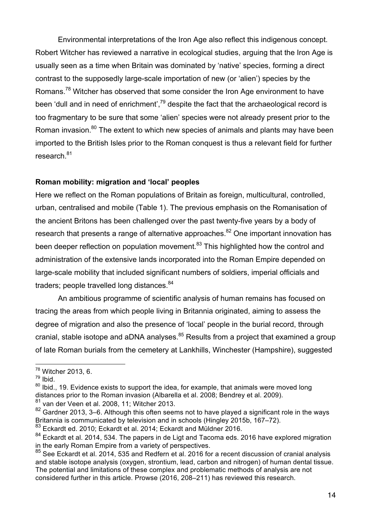Environmental interpretations of the Iron Age also reflect this indigenous concept. Robert Witcher has reviewed a narrative in ecological studies, arguing that the Iron Age is usually seen as a time when Britain was dominated by 'native' species, forming a direct contrast to the supposedly large-scale importation of new (or 'alien') species by the Romans.<sup>78</sup> Witcher has observed that some consider the Iron Age environment to have been 'dull and in need of enrichment', $79$  despite the fact that the archaeological record is too fragmentary to be sure that some 'alien' species were not already present prior to the Roman invasion.<sup>80</sup> The extent to which new species of animals and plants may have been imported to the British Isles prior to the Roman conquest is thus a relevant field for further research.<sup>81</sup>

## **Roman mobility: migration and 'local' peoples**

Here we reflect on the Roman populations of Britain as foreign, multicultural, controlled, urban, centralised and mobile (Table 1). The previous emphasis on the Romanisation of the ancient Britons has been challenged over the past twenty-five years by a body of research that presents a range of alternative approaches.<sup>82</sup> One important innovation has been deeper reflection on population movement.<sup>83</sup> This highlighted how the control and administration of the extensive lands incorporated into the Roman Empire depended on large-scale mobility that included significant numbers of soldiers, imperial officials and traders; people travelled long distances. <sup>84</sup>

An ambitious programme of scientific analysis of human remains has focused on tracing the areas from which people living in Britannia originated, aiming to assess the degree of migration and also the presence of 'local' people in the burial record, through cranial, stable isotope and aDNA analyses. $85$  Results from a project that examined a group of late Roman burials from the cemetery at Lankhills, Winchester (Hampshire), suggested

 $80$  Ibid., 19. Evidence exists to support the idea, for example, that animals were moved long distances prior to the Roman invasion (Albarella et al. 2008; Bendrey et al. 2009).

 $81$  van der Veen et al. 2008, 11; Witcher 2013.

83 Eckardt ed. 2010; Eckardt et al. 2014; Eckardt and Müldner 2016.

<sup>78</sup> Witcher 2013, 6.

 $79$  Ibid.

 $82$  Gardner 2013, 3–6. Although this often seems not to have played a significant role in the ways Britannia is communicated by television and in schools (Hingley 2015b, 167–72).

 $84$  Eckardt et al. 2014, 534. The papers in de Ligt and Tacoma eds. 2016 have explored migration in the early Roman Empire from a variety of perspectives.

 $85$  See Eckardt et al. 2014, 535 and Redfern et al. 2016 for a recent discussion of cranial analysis and stable isotope analysis (oxygen, strontium, lead, carbon and nitrogen) of human dental tissue. The potential and limitations of these complex and problematic methods of analysis are not considered further in this article. Prowse (2016, 208–211) has reviewed this research.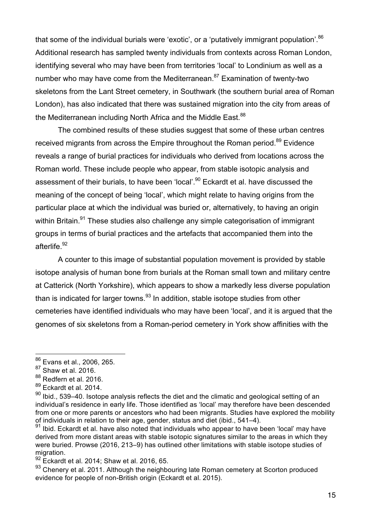that some of the individual burials were 'exotic', or a 'putatively immigrant population'.<sup>86</sup> Additional research has sampled twenty individuals from contexts across Roman London, identifying several who may have been from territories 'local' to Londinium as well as a number who may have come from the Mediterranean.<sup>87</sup> Examination of twenty-two skeletons from the Lant Street cemetery, in Southwark (the southern burial area of Roman London), has also indicated that there was sustained migration into the city from areas of the Mediterranean including North Africa and the Middle East.<sup>88</sup>

The combined results of these studies suggest that some of these urban centres received migrants from across the Empire throughout the Roman period.<sup>89</sup> Evidence reveals a range of burial practices for individuals who derived from locations across the Roman world. These include people who appear, from stable isotopic analysis and assessment of their burials, to have been 'local'.<sup>90</sup> Eckardt et al. have discussed the meaning of the concept of being 'local', which might relate to having origins from the particular place at which the individual was buried or, alternatively, to having an origin within Britain.<sup>91</sup> These studies also challenge any simple categorisation of immigrant groups in terms of burial practices and the artefacts that accompanied them into the afterlife.<sup>92</sup>

A counter to this image of substantial population movement is provided by stable isotope analysis of human bone from burials at the Roman small town and military centre at Catterick (North Yorkshire), which appears to show a markedly less diverse population than is indicated for larger towns.<sup>93</sup> In addition, stable isotope studies from other cemeteries have identified individuals who may have been 'local', and it is argued that the genomes of six skeletons from a Roman-period cemetery in York show affinities with the

 $^{86}$  Evans et al., 2006, 265.<br> $^{87}$  Shaw et al. 2016.

 $88$  Redfern et al. 2016.<br> $89$  Eckardt et al. 2014.

<sup>90</sup> Ibid., 539–40. Isotope analysis reflects the diet and the climatic and geological setting of an individual's residence in early life. Those identified as 'local' may therefore have been descended from one or more parents or ancestors who had been migrants. Studies have explored the mobility of individuals in relation to their age, gender, status and diet (ibid., 541–4).<br><sup>91</sup> Ibid. Eckardt et al. have also noted that individuals who appear to have been 'local' may have

derived from more distant areas with stable isotopic signatures similar to the areas in which they were buried. Prowse (2016, 213–9) has outlined other limitations with stable isotope studies of migration.

 $92$  Eckardt et al. 2014; Shaw et al. 2016, 65.

 $93$  Chenery et al. 2011. Although the neighbouring late Roman cemetery at Scorton produced evidence for people of non-British origin (Eckardt et al. 2015).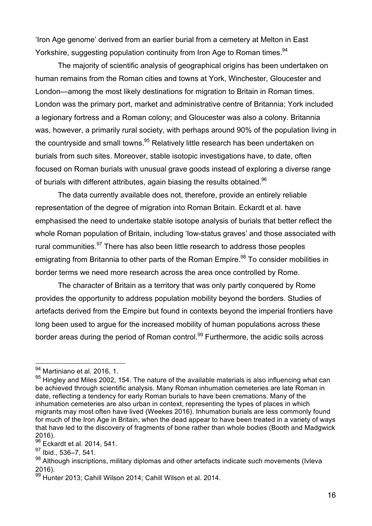'Iron Age genome' derived from an earlier burial from a cemetery at Melton in East Yorkshire, suggesting population continuity from Iron Age to Roman times.<sup>94</sup>

The majority of scientific analysis of geographical origins has been undertaken on human remains from the Roman cities and towns at York, Winchester, Gloucester and London—among the most likely destinations for migration to Britain in Roman times. London was the primary port, market and administrative centre of Britannia; York included a legionary fortress and a Roman colony; and Gloucester was also a colony. Britannia was, however, a primarily rural society, with perhaps around 90% of the population living in the countryside and small towns.<sup>95</sup> Relatively little research has been undertaken on burials from such sites. Moreover, stable isotopic investigations have, to date, often focused on Roman burials with unusual grave goods instead of exploring a diverse range of burials with different attributes, again biasing the results obtained.<sup>96</sup>

The data currently available does not, therefore, provide an entirely reliable representation of the degree of migration into Roman Britain. Eckardt et al. have emphasised the need to undertake stable isotope analysis of burials that better reflect the whole Roman population of Britain, including 'low-status graves' and those associated with rural communities. $97$  There has also been little research to address those peoples emigrating from Britannia to other parts of the Roman Empire.<sup>98</sup> To consider mobilities in border terms we need more research across the area once controlled by Rome.

The character of Britain as a territory that was only partly conquered by Rome provides the opportunity to address population mobility beyond the borders. Studies of artefacts derived from the Empire but found in contexts beyond the imperial frontiers have long been used to argue for the increased mobility of human populations across these border areas during the period of Roman control.<sup>99</sup> Furthermore, the acidic soils across

 $^{94}$  Martiniano et al. 2016, 1.<br><sup>95</sup> Hingley and Miles 2002, 154. The nature of the available materials is also influencing what can be achieved through scientific analysis. Many Roman inhumation cemeteries are late Roman in date, reflecting a tendency for early Roman burials to have been cremations. Many of the inhumation cemeteries are also urban in context, representing the types of places in which migrants may most often have lived (Weekes 2016). Inhumation burials are less commonly found for much of the Iron Age in Britain, when the dead appear to have been treated in a variety of ways that have led to the discovery of fragments of bone rather than whole bodies (Booth and Madgwick 2016).

<sup>&</sup>lt;sup>96</sup> Eckardt et al. 2014, 541.

<sup>97</sup> Ibid., 536–7, 541.

 $98$  Although inscriptions, military diplomas and other artefacts indicate such movements (Ivleva 2016).

<sup>99</sup> Hunter 2013; Cahill Wilson 2014; Cahill Wilson et al. 2014.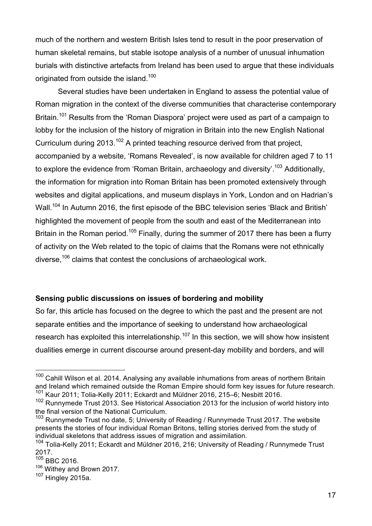much of the northern and western British Isles tend to result in the poor preservation of human skeletal remains, but stable isotope analysis of a number of unusual inhumation burials with distinctive artefacts from Ireland has been used to argue that these individuals originated from outside the island.<sup>100</sup>

Several studies have been undertaken in England to assess the potential value of Roman migration in the context of the diverse communities that characterise contemporary Britain.<sup>101</sup> Results from the 'Roman Diaspora' project were used as part of a campaign to lobby for the inclusion of the history of migration in Britain into the new English National Curriculum during  $2013$ .<sup>102</sup> A printed teaching resource derived from that project, accompanied by a website, 'Romans Revealed', is now available for children aged 7 to 11 to explore the evidence from 'Roman Britain, archaeology and diversity'.<sup>103</sup> Additionally, the information for migration into Roman Britain has been promoted extensively through websites and digital applications, and museum displays in York, London and on Hadrian's Wall.<sup>104</sup> In Autumn 2016, the first episode of the BBC television series 'Black and British' highlighted the movement of people from the south and east of the Mediterranean into Britain in the Roman period.<sup>105</sup> Finally, during the summer of 2017 there has been a flurry of activity on the Web related to the topic of claims that the Romans were not ethnically diverse,<sup>106</sup> claims that contest the conclusions of archaeological work.

#### **Sensing public discussions on issues of bordering and mobility**

So far, this article has focused on the degree to which the past and the present are not separate entities and the importance of seeking to understand how archaeological research has exploited this interrelationship.<sup>107</sup> In this section, we will show how insistent dualities emerge in current discourse around present-day mobility and borders, and will

<sup>&</sup>lt;sup>100</sup> Cahill Wilson et al. 2014. Analysing any available inhumations from areas of northern Britain and Ireland which remained outside the Roman Empire should form key issues for future research. <sup>101</sup> Kaur 2011; Tolia-Kelly 2011; Eckardt and Müldner 2016, 215–6; Nesbitt 2016.

<sup>102</sup> Runnymede Trust 2013. See Historical Association 2013 for the inclusion of world history into the final version of the National Curriculum.

<sup>103</sup> Runnymede Trust no date, 5; University of Reading / Runnymede Trust 2017. The website presents the stories of four individual Roman Britons, telling stories derived from the study of individual skeletons that address issues of migration and assimilation.

<sup>&</sup>lt;sup>104</sup> Tolia-Kelly 2011; Eckardt and Müldner 2016, 216; University of Reading / Runnymede Trust 2017.

<sup>105</sup> BBC 2016.

<sup>106</sup> Withey and Brown 2017.

 $107$  Hingley 2015a.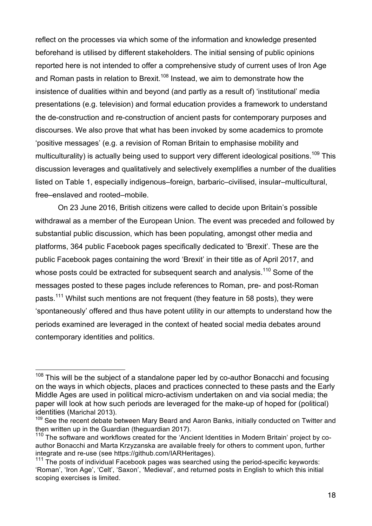reflect on the processes via which some of the information and knowledge presented beforehand is utilised by different stakeholders. The initial sensing of public opinions reported here is not intended to offer a comprehensive study of current uses of Iron Age and Roman pasts in relation to Brexit.<sup>108</sup> Instead, we aim to demonstrate how the insistence of dualities within and beyond (and partly as a result of) 'institutional' media presentations (e.g. television) and formal education provides a framework to understand the de-construction and re-construction of ancient pasts for contemporary purposes and discourses. We also prove that what has been invoked by some academics to promote 'positive messages' (e.g. a revision of Roman Britain to emphasise mobility and multiculturality) is actually being used to support very different ideological positions.<sup>109</sup> This discussion leverages and qualitatively and selectively exemplifies a number of the dualities listed on Table 1, especially indigenous–foreign, barbaric–civilised, insular–multicultural, free–enslaved and rooted–mobile.

On 23 June 2016, British citizens were called to decide upon Britain's possible withdrawal as a member of the European Union. The event was preceded and followed by substantial public discussion, which has been populating, amongst other media and platforms, 364 public Facebook pages specifically dedicated to 'Brexit'. These are the public Facebook pages containing the word 'Brexit' in their title as of April 2017, and whose posts could be extracted for subsequent search and analysis.<sup>110</sup> Some of the messages posted to these pages include references to Roman, pre- and post-Roman pasts.<sup>111</sup> Whilst such mentions are not frequent (they feature in 58 posts), they were 'spontaneously' offered and thus have potent utility in our attempts to understand how the periods examined are leveraged in the context of heated social media debates around contemporary identities and politics.

 $108$  This will be the subject of a standalone paper led by co-author Bonacchi and focusing on the ways in which objects, places and practices connected to these pasts and the Early Middle Ages are used in political micro-activism undertaken on and via social media; the paper will look at how such periods are leveraged for the make-up of hoped for (political) identities (Marichal 2013).

<sup>&</sup>lt;sup>109</sup> See the recent debate between Mary Beard and Aaron Banks, initially conducted on Twitter and then written up in the Guardian (theguardian 2017).

<sup>&</sup>lt;sup>110</sup> The software and workflows created for the 'Ancient Identities in Modern Britain' project by coauthor Bonacchi and Marta Krzyzanska are available freely for others to comment upon, further integrate and re-use (see https://github.com/IARHeritages).

 $111$  The posts of individual Facebook pages was searched using the period-specific keywords: 'Roman', 'Iron Age', 'Celt', 'Saxon', 'Medieval', and returned posts in English to which this initial scoping exercises is limited.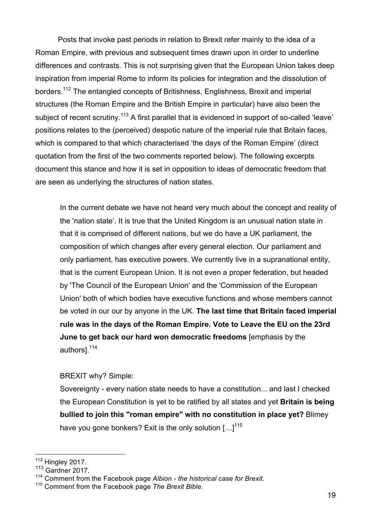Posts that invoke past periods in relation to Brexit refer mainly to the idea of a Roman Empire, with previous and subsequent times drawn upon in order to underline differences and contrasts. This is not surprising given that the European Union takes deep inspiration from imperial Rome to inform its policies for integration and the dissolution of borders.112 The entangled concepts of Britishness, Englishness, Brexit and imperial structures (the Roman Empire and the British Empire in particular) have also been the subject of recent scrutiny.<sup>113</sup> A first parallel that is evidenced in support of so-called 'leave' positions relates to the (perceived) despotic nature of the imperial rule that Britain faces, which is compared to that which characterised 'the days of the Roman Empire' (direct quotation from the first of the two comments reported below). The following excerpts document this stance and how it is set in opposition to ideas of democratic freedom that are seen as underlying the structures of nation states.

In the current debate we have not heard very much about the concept and reality of the 'nation state'. It is true that the United Kingdom is an unusual nation state in that it is comprised of different nations, but we do have a UK parliament, the composition of which changes after every general election. Our parliament and only parliament, has executive powers. We currently live in a supranational entity, that is the current European Union. It is not even a proper federation, but headed by 'The Council of the European Union' and the 'Commission of the European Union' both of which bodies have executive functions and whose members cannot be voted in our our by anyone in the UK. **The last time that Britain faced imperial rule was in the days of the Roman Empire. Vote to Leave the EU on the 23rd June to get back our hard won democratic freedoms** [emphasis by the authors].<sup>114</sup>

# BREXIT why? Simple:

Sovereignty - every nation state needs to have a constitution... and last I checked the European Constitution is yet to be ratified by all states and yet **Britain is being bullied to join this "roman empire" with no constitution in place yet?** Blimey have you gone bonkers? Exit is the only solution  $[...]^{115}$ 

 $\overline{a}$  $112$  Hingley 2017.

<sup>113</sup> Gardner 2017.

<sup>114</sup> Comment from the Facebook page *Albion - the historical case for Brexit*. <sup>115</sup> Comment from the Facebook page *The Brexit Bible.*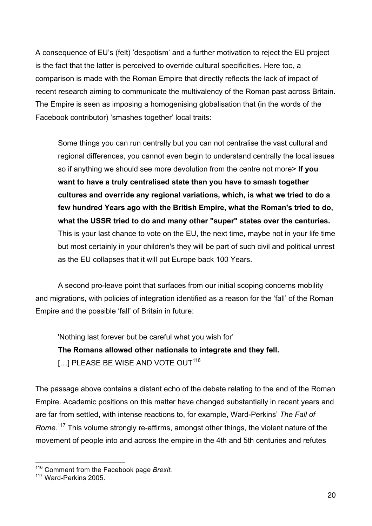A consequence of EU's (felt) 'despotism' and a further motivation to reject the EU project is the fact that the latter is perceived to override cultural specificities. Here too, a comparison is made with the Roman Empire that directly reflects the lack of impact of recent research aiming to communicate the multivalency of the Roman past across Britain. The Empire is seen as imposing a homogenising globalisation that (in the words of the Facebook contributor) 'smashes together' local traits:

Some things you can run centrally but you can not centralise the vast cultural and regional differences, you cannot even begin to understand centrally the local issues so if anything we should see more devolution from the centre not more> **If you want to have a truly centralised state than you have to smash together cultures and override any regional variations, which, is what we tried to do a few hundred Years ago with the British Empire, what the Roman's tried to do, what the USSR tried to do and many other "super" states over the centuries.** This is your last chance to vote on the EU, the next time, maybe not in your life time but most certainly in your children's they will be part of such civil and political unrest as the EU collapses that it will put Europe back 100 Years.

A second pro-leave point that surfaces from our initial scoping concerns mobility and migrations, with policies of integration identified as a reason for the 'fall' of the Roman Empire and the possible 'fall' of Britain in future:

'Nothing last forever but be careful what you wish for' **The Romans allowed other nationals to integrate and they fell.** [...] PLEASE BE WISE AND VOTE OUT<sup>116</sup>

The passage above contains a distant echo of the debate relating to the end of the Roman Empire. Academic positions on this matter have changed substantially in recent years and are far from settled, with intense reactions to, for example, Ward-Perkins' *The Fall of Rome.*<sup>117</sup> This volume strongly re-affirms, amongst other things, the violent nature of the movement of people into and across the empire in the 4th and 5th centuries and refutes

<sup>116</sup> Comment from the Facebook page *Brexit.*

<sup>117</sup> Ward-Perkins 2005.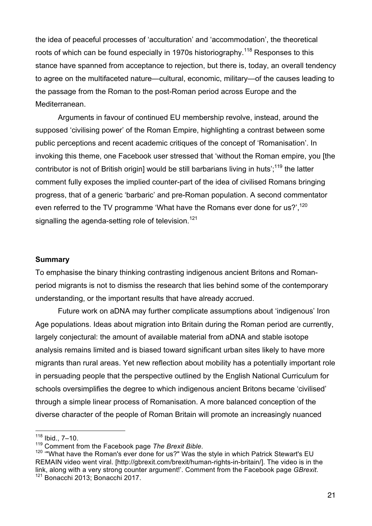the idea of peaceful processes of 'acculturation' and 'accommodation', the theoretical roots of which can be found especially in 1970s historiography.<sup>118</sup> Responses to this stance have spanned from acceptance to rejection, but there is, today, an overall tendency to agree on the multifaceted nature—cultural, economic, military—of the causes leading to the passage from the Roman to the post-Roman period across Europe and the Mediterranean.

Arguments in favour of continued EU membership revolve, instead, around the supposed 'civilising power' of the Roman Empire, highlighting a contrast between some public perceptions and recent academic critiques of the concept of 'Romanisation'. In invoking this theme, one Facebook user stressed that 'without the Roman empire, you [the contributor is not of British origin] would be still barbarians living in huts';<sup>119</sup> the latter comment fully exposes the implied counter-part of the idea of civilised Romans bringing progress, that of a generic 'barbaric' and pre-Roman population. A second commentator even referred to the TV programme 'What have the Romans ever done for us?'.<sup>120</sup> signalling the agenda-setting role of television.<sup>121</sup>

#### **Summary**

To emphasise the binary thinking contrasting indigenous ancient Britons and Romanperiod migrants is not to dismiss the research that lies behind some of the contemporary understanding, or the important results that have already accrued.

Future work on aDNA may further complicate assumptions about 'indigenous' Iron Age populations. Ideas about migration into Britain during the Roman period are currently, largely conjectural: the amount of available material from aDNA and stable isotope analysis remains limited and is biased toward significant urban sites likely to have more migrants than rural areas. Yet new reflection about mobility has a potentially important role in persuading people that the perspective outlined by the English National Curriculum for schools oversimplifies the degree to which indigenous ancient Britons became 'civilised' through a simple linear process of Romanisation. A more balanced conception of the diverse character of the people of Roman Britain will promote an increasingly nuanced

 $118$  Ibid., 7-10.<br> $119$  Comment from the Facebook page The Brexit Bible.

<sup>&</sup>lt;sup>120</sup> "What have the Roman's ever done for us?" Was the style in which Patrick Stewart's EU REMAIN video went viral. [http://gbrexit.com/brexit/human-rights-in-britain/]. The video is in the link, along with a very strong counter argument!'. Comment from the Facebook page *GBrexit*. <sup>121</sup> Bonacchi 2013; Bonacchi 2017.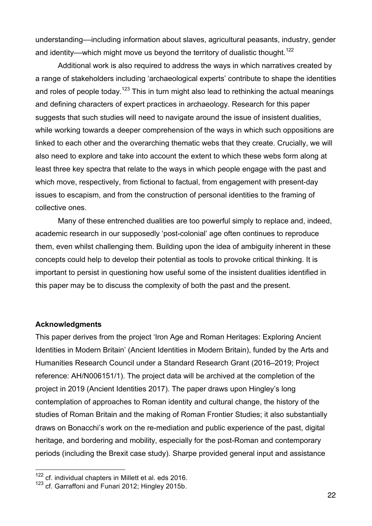understanding––including information about slaves, agricultural peasants, industry, gender and identity—which might move us beyond the territory of dualistic thought.<sup>122</sup>

Additional work is also required to address the ways in which narratives created by a range of stakeholders including 'archaeological experts' contribute to shape the identities and roles of people today.<sup>123</sup> This in turn might also lead to rethinking the actual meanings and defining characters of expert practices in archaeology. Research for this paper suggests that such studies will need to navigate around the issue of insistent dualities, while working towards a deeper comprehension of the ways in which such oppositions are linked to each other and the overarching thematic webs that they create. Crucially, we will also need to explore and take into account the extent to which these webs form along at least three key spectra that relate to the ways in which people engage with the past and which move, respectively, from fictional to factual, from engagement with present-day issues to escapism, and from the construction of personal identities to the framing of collective ones.

Many of these entrenched dualities are too powerful simply to replace and, indeed, academic research in our supposedly 'post-colonial' age often continues to reproduce them, even whilst challenging them. Building upon the idea of ambiguity inherent in these concepts could help to develop their potential as tools to provoke critical thinking. It is important to persist in questioning how useful some of the insistent dualities identified in this paper may be to discuss the complexity of both the past and the present.

#### **Acknowledgments**

This paper derives from the project 'Iron Age and Roman Heritages: Exploring Ancient Identities in Modern Britain' (Ancient Identities in Modern Britain), funded by the Arts and Humanities Research Council under a Standard Research Grant (2016–2019; Project reference: AH/N006151/1). The project data will be archived at the completion of the project in 2019 (Ancient Identities 2017). The paper draws upon Hingley's long contemplation of approaches to Roman identity and cultural change, the history of the studies of Roman Britain and the making of Roman Frontier Studies; it also substantially draws on Bonacchi's work on the re-mediation and public experience of the past, digital heritage, and bordering and mobility, especially for the post-Roman and contemporary periods (including the Brexit case study). Sharpe provided general input and assistance

<sup>&</sup>lt;sup>122</sup> cf. individual chapters in Millett et al. eds 2016.

<sup>123</sup> cf. Garraffoni and Funari 2012; Hingley 2015b.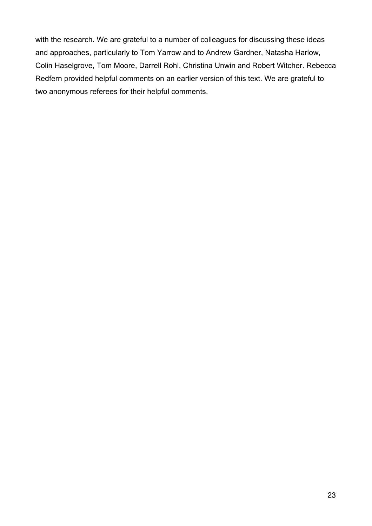with the research**.** We are grateful to a number of colleagues for discussing these ideas and approaches, particularly to Tom Yarrow and to Andrew Gardner, Natasha Harlow, Colin Haselgrove, Tom Moore, Darrell Rohl, Christina Unwin and Robert Witcher. Rebecca Redfern provided helpful comments on an earlier version of this text. We are grateful to two anonymous referees for their helpful comments.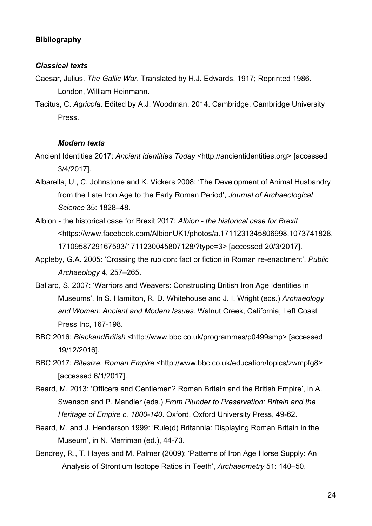#### **Bibliography**

#### *Classical texts*

- Caesar, Julius. *The Gallic War*. Translated by H.J. Edwards, 1917; Reprinted 1986. London, William Heinmann.
- Tacitus, C. *Agricola*. Edited by A.J. Woodman, 2014. Cambridge, Cambridge University Press.

#### *Modern texts*

- Ancient Identities 2017: *Ancient identities Today* <http://ancientidentities.org> [accessed 3/4/2017].
- Albarella, U., C. Johnstone and K. Vickers 2008: 'The Development of Animal Husbandry from the Late Iron Age to the Early Roman Period', *Journal of Archaeological Science* 35: 1828–48.
- Albion the historical case for Brexit 2017: *Albion - the historical case for Brexit* <https://www.facebook.com/AlbionUK1/photos/a.1711231345806998.1073741828. 1710958729167593/1711230045807128/?type=3> [accessed 20/3/2017].
- Appleby, G.A. 2005: 'Crossing the rubicon: fact or fiction in Roman re-enactment'. *Public Archaeology* 4, 257–265.
- Ballard, S. 2007: 'Warriors and Weavers: Constructing British Iron Age Identities in Museums'. In S. Hamilton, R. D. Whitehouse and J. I. Wright (eds.) *Archaeology and Women: Ancient and Modern Issues*. Walnut Creek, California, Left Coast Press Inc, 167-198.
- BBC 2016: *BlackandBritish* <http://www.bbc.co.uk/programmes/p0499smp> [accessed] 19/12/2016].
- BBC 2017: *Bitesize, Roman Empire* <http://www.bbc.co.uk/education/topics/zwmpfg8> [accessed 6/1/2017].
- Beard, M. 2013: 'Officers and Gentlemen? Roman Britain and the British Empire', in A. Swenson and P. Mandler (eds.) *From Plunder to Preservation: Britain and the Heritage of Empire c. 1800-140*. Oxford, Oxford University Press, 49-62.
- Beard, M. and J. Henderson 1999: 'Rule(d) Britannia: Displaying Roman Britain in the Museum', in N. Merriman (ed.), 44-73.
- Bendrey, R., T. Hayes and M. Palmer (2009): 'Patterns of Iron Age Horse Supply: An Analysis of Strontium Isotope Ratios in Teeth', *Archaeometry* 51: 140–50.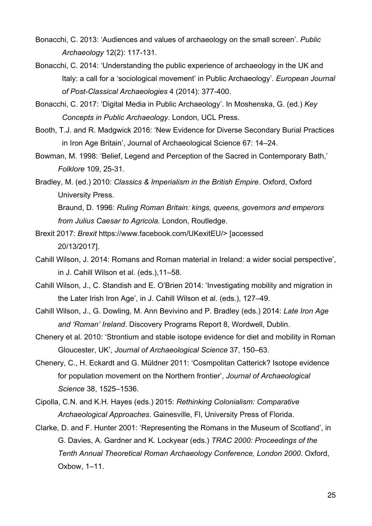- Bonacchi, C. 2013: 'Audiences and values of archaeology on the small screen'. *Public Archaeology* 12(2): 117-131.
- Bonacchi, C. 2014: 'Understanding the public experience of archaeology in the UK and Italy: a call for a 'sociological movement' in Public Archaeology'. *European Journal of Post-Classical Archaeologies* 4 (2014): 377-400.
- Bonacchi, C. 2017: 'Digital Media in Public Archaeology'. In Moshenska, G. (ed.) *Key Concepts in Public Archaeology*. London, UCL Press.
- Booth, T.J. and R. Madgwick 2016: 'New Evidence for Diverse Secondary Burial Practices in Iron Age Britain', Journal of Archaeological Science 67: 14–24.
- Bowman, M. 1998: 'Belief, Legend and Perception of the Sacred in Contemporary Bath,' *Folklore* 109, 25-31.
- Bradley, M. (ed.) 2010: *Classics & Imperialism in the British Empire*. Oxford, Oxford University Press.

Braund, D. 1996: *Ruling Roman Britain: kings, queens, governors and emperors from Julius Caesar to Agricola.* London, Routledge.

- Brexit 2017: *Brexit* https://www.facebook.com/UKexitEU/> [accessed 20/13/2017].
- Cahill Wilson, J. 2014: Romans and Roman material in Ireland: a wider social perspective', in J. Cahill Wilson et al. (eds.),11–58.
- Cahill Wilson, J., C. Standish and E. O'Brien 2014: 'Investigating mobility and migration in the Later Irish Iron Age', in J. Cahill Wilson et al. (eds.), 127–49.
- Cahill Wilson, J., G. Dowling, M. Ann Bevivino and P. Bradley (eds.) 2014: *Late Iron Age and 'Roman' Ireland*. Discovery Programs Report 8, Wordwell, Dublin.
- Chenery et al. 2010: 'Strontium and stable isotope evidence for diet and mobility in Roman Gloucester, UK', *Journal of Archaeological Science* 37, 150–63.
- Chenery, C., H. Eckardt and G. Müldner 2011: 'Cosmpolitan Catterick? Isotope evidence for population movement on the Northern frontier', *Journal of Archaeological Science* 38, 1525–1536.
- Cipolla, C.N. and K.H. Hayes (eds.) 2015: *Rethinking Colonialism: Comparative Archaeological Approaches*. Gainesville, Fl, University Press of Florida.
- Clarke, D. and F. Hunter 2001: 'Representing the Romans in the Museum of Scotland', in G. Davies, A. Gardner and K. Lockyear (eds.) *TRAC 2000: Proceedings of the Tenth Annual Theoretical Roman Archaeology Conference, London 2000*. Oxford, Oxbow, 1–11.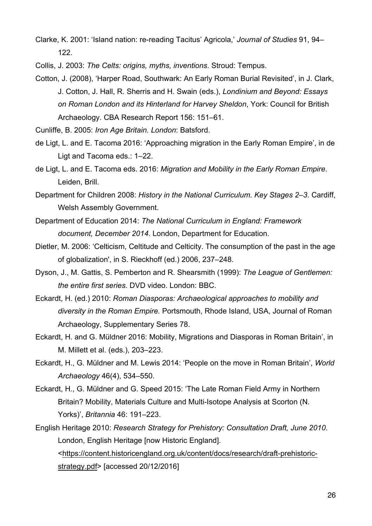Clarke, K. 2001: 'Island nation: re-reading Tacitus' Agricola,' *Journal of Studies* 91, 94– 122.

Collis, J. 2003: *The Celts: origins, myths, inventions*. Stroud: Tempus.

Cotton, J. (2008), 'Harper Road, Southwark: An Early Roman Burial Revisited', in J. Clark, J. Cotton, J. Hall, R. Sherris and H. Swain (eds.), *Londinium and Beyond: Essays on Roman London and its Hinterland for Harvey Sheldon*, York: Council for British Archaeology. CBA Research Report 156: 151–61.

Cunliffe, B. 2005: *Iron Age Britain. London*: Batsford.

- de Ligt, L. and E. Tacoma 2016: 'Approaching migration in the Early Roman Empire', in de Ligt and Tacoma eds.: 1–22.
- de Ligt, L. and E. Tacoma eds. 2016: *Migration and Mobility in the Early Roman Empire*. Leiden, Brill.
- Department for Children 2008: *History in the National Curriculum. Key Stages 2–3*. Cardiff, Welsh Assembly Government.
- Department of Education 2014: *The National Curriculum in England: Framework document, December 2014*. London, Department for Education.
- Dietler, M. 2006: 'Celticism, Celtitude and Celticity. The consumption of the past in the age of globalization', in S. Rieckhoff (ed.) 2006, 237–248.
- Dyson, J., M. Gattis, S. Pemberton and R. Shearsmith (1999): *The League of Gentlemen: the entire first series*. DVD video. London: BBC.
- Eckardt, H. (ed.) 2010: *Roman Diasporas: Archaeological approaches to mobility and diversity in the Roman Empire.* Portsmouth, Rhode Island, USA, Journal of Roman Archaeology, Supplementary Series 78.
- Eckardt, H. and G. Müldner 2016: Mobility, Migrations and Diasporas in Roman Britain', in M. Millett et al. (eds.), 203–223.
- Eckardt, H., G. Müldner and M. Lewis 2014: 'People on the move in Roman Britain', *World Archaeology* 46(4), 534–550.
- Eckardt, H., G. Müldner and G. Speed 2015: 'The Late Roman Field Army in Northern Britain? Mobility, Materials Culture and Multi-Isotope Analysis at Scorton (N. Yorks)', *Britannia* 46: 191–223.
- English Heritage 2010: *Research Strategy for Prehistory: Consultation Draft, June 2010*. London, English Heritage [now Historic England]. <https://content.historicengland.org.uk/content/docs/research/draft-prehistoricstrategy.pdf> [accessed 20/12/2016]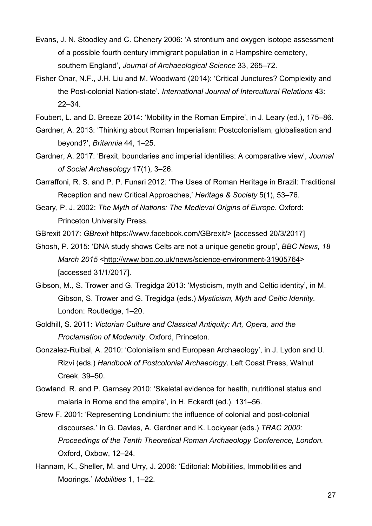- Evans, J. N. Stoodley and C. Chenery 2006: 'A strontium and oxygen isotope assessment of a possible fourth century immigrant population in a Hampshire cemetery, southern England', *Journal of Archaeological Science* 33, 265–72.
- Fisher Onar, N.F., J.H. Liu and M. Woodward (2014): 'Critical Junctures? Complexity and the Post-colonial Nation-state'. *International Journal of Intercultural Relations* 43: 22–34.
- Foubert, L. and D. Breeze 2014: 'Mobility in the Roman Empire', in J. Leary (ed.), 175–86.
- Gardner, A. 2013: 'Thinking about Roman Imperialism: Postcolonialism, globalisation and beyond?', *Britannia* 44, 1–25.
- Gardner, A. 2017: 'Brexit, boundaries and imperial identities: A comparative view', *Journal of Social Archaeology* 17(1), 3–26.
- Garraffoni, R. S. and P. P. Funari 2012: 'The Uses of Roman Heritage in Brazil: Traditional Reception and new Critical Approaches,' *Heritage & Society* 5(1), 53–76.
- Geary, P. J. 2002: *The Myth of Nations: The Medieval Origins of Europe*. Oxford: Princeton University Press.
- GBrexit 2017: *GBrexit* https://www.facebook.com/GBrexit/> [accessed 20/3/2017]
- Ghosh, P. 2015: 'DNA study shows Celts are not a unique genetic group', *BBC News, 18 March 2015* <http://www.bbc.co.uk/news/science-environment-31905764> [accessed 31/1/2017].
- Gibson, M., S. Trower and G. Tregidga 2013: 'Mysticism, myth and Celtic identity', in M. Gibson, S. Trower and G. Tregidga (eds.) *Mysticism, Myth and Celtic Identity.* London: Routledge, 1–20.
- Goldhill, S. 2011: *Victorian Culture and Classical Antiquity: Art, Opera, and the Proclamation of Modernity*. Oxford, Princeton.
- Gonzalez-Ruibal, A. 2010: 'Colonialism and European Archaeology', in J. Lydon and U. Rizvi (eds.) *Handbook of Postcolonial Archaeology*. Left Coast Press, Walnut Creek, 39–50.
- Gowland, R. and P. Garnsey 2010: 'Skeletal evidence for health, nutritional status and malaria in Rome and the empire', in H. Eckardt (ed.), 131–56.
- Grew F. 2001: 'Representing Londinium: the influence of colonial and post-colonial discourses,' in G. Davies, A. Gardner and K. Lockyear (eds.) *TRAC 2000: Proceedings of the Tenth Theoretical Roman Archaeology Conference, London.* Oxford, Oxbow, 12–24.
- Hannam, K., Sheller, M. and Urry, J. 2006: 'Editorial: Mobilities, Immobilities and Moorings.' *Mobilities* 1, 1–22.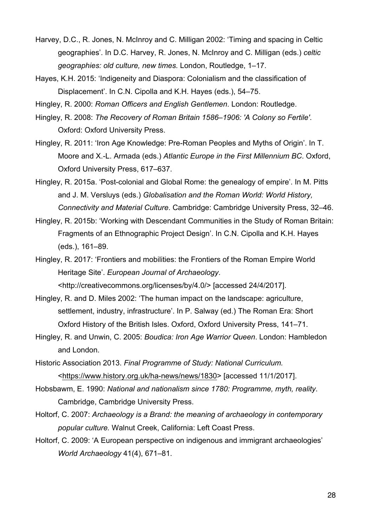- Harvey, D.C., R. Jones, N. McInroy and C. Milligan 2002: 'Timing and spacing in Celtic geographies'. In D.C. Harvey, R. Jones, N. McInroy and C. Milligan (eds.) *celtic geographies: old culture, new times.* London, Routledge, 1–17.
- Hayes, K.H. 2015: 'Indigeneity and Diaspora: Colonialism and the classification of Displacement'. In C.N. Cipolla and K.H. Hayes (eds.), 54–75.
- Hingley, R. 2000: *Roman Officers and English Gentlemen*. London: Routledge.
- Hingley, R. 2008: *The Recovery of Roman Britain 1586–1906: 'A Colony so Fertile'*. Oxford: Oxford University Press.
- Hingley, R. 2011: 'Iron Age Knowledge: Pre-Roman Peoples and Myths of Origin'. In T. Moore and X.-L. Armada (eds.) *Atlantic Europe in the First Millennium BC*. Oxford, Oxford University Press, 617–637.
- Hingley, R. 2015a. 'Post-colonial and Global Rome: the genealogy of empire'. In M. Pitts and J. M. Versluys (eds.) *Globalisation and the Roman World: World History, Connectivity and Material Culture*. Cambridge: Cambridge University Press, 32–46.
- Hingley, R. 2015b: 'Working with Descendant Communities in the Study of Roman Britain: Fragments of an Ethnographic Project Design'. In C.N. Cipolla and K.H. Hayes (eds.), 161–89.
- Hingley, R. 2017: 'Frontiers and mobilities: the Frontiers of the Roman Empire World Heritage Site'. *European Journal of Archaeology*. <http://creativecommons.org/licenses/by/4.0/> [accessed 24/4/2017].
- Hingley, R. and D. Miles 2002: 'The human impact on the landscape: agriculture, settlement, industry, infrastructure'. In P. Salway (ed.) The Roman Era: Short Oxford History of the British Isles. Oxford, Oxford University Press, 141–71.
- Hingley, R. and Unwin, C. 2005: *Boudica: Iron Age Warrior Queen*. London: Hambledon and London.
- Historic Association 2013. *Final Programme of Study: National Curriculum.* <https://www.history.org.uk/ha-news/news/1830> [accessed 11/1/2017].
- Hobsbawm, E. 1990: *National and nationalism since 1780: Programme, myth, reality*. Cambridge, Cambridge University Press.
- Holtorf, C. 2007: *Archaeology is a Brand: the meaning of archaeology in contemporary popular culture.* Walnut Creek, California: Left Coast Press.
- Holtorf, C. 2009: 'A European perspective on indigenous and immigrant archaeologies' *World Archaeology* 41(4), 671–81.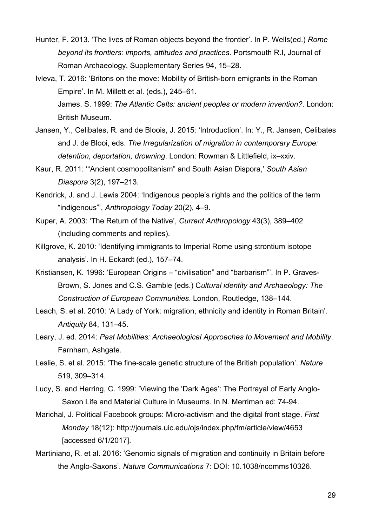- Hunter, F. 2013. 'The lives of Roman objects beyond the frontier'. In P. Wells(ed.) *Rome beyond its frontiers: imports, attitudes and practices*. Portsmouth R.I, Journal of Roman Archaeology, Supplementary Series 94, 15–28.
- Ivleva, T. 2016: 'Britons on the move: Mobility of British-born emigrants in the Roman Empire'. In M. Millett et al. (eds.), 245–61. James, S. 1999: *The Atlantic Celts: ancient peoples or modern invention?*. London: British Museum.
- Jansen, Y., Celibates, R. and de Bloois, J. 2015: 'Introduction'. In: Y., R. Jansen, Celibates and J. de Blooi, eds. *The Irregularization of migration in contemporary Europe: detention, deportation, drowning*. London: Rowman & Littlefield, ix–xxiv.
- Kaur, R. 2011: '"Ancient cosmopolitanism" and South Asian Dispora,' *South Asian Diaspora* 3(2), 197–213.
- Kendrick, J. and J. Lewis 2004: 'Indigenous people's rights and the politics of the term "indigenous"', *Anthropology Today* 20(2), 4–9.
- Kuper, A. 2003: 'The Return of the Native', *Current Anthropology* 43(3), 389–402 (including comments and replies).
- Killgrove, K. 2010: 'Identifying immigrants to Imperial Rome using strontium isotope analysis'. In H. Eckardt (ed.), 157–74.
- Kristiansen, K. 1996: 'European Origins "civilisation" and "barbarism"'. In P. Graves-Brown, S. Jones and C.S. Gamble (eds.) C*ultural identity and Archaeology: The Construction of European Communities*. London, Routledge, 138–144.
- Leach, S. et al. 2010: 'A Lady of York: migration, ethnicity and identity in Roman Britain'. *Antiquity* 84, 131–45.
- Leary, J. ed. 2014: *Past Mobilities: Archaeological Approaches to Movement and Mobility*. Farnham, Ashgate.
- Leslie, S. et al. 2015: 'The fine-scale genetic structure of the British population'. *Nature*  519, 309–314.
- Lucy, S. and Herring, C. 1999: 'Viewing the 'Dark Ages': The Portrayal of Early Anglo-Saxon Life and Material Culture in Museums. In N. Merriman ed: 74-94.
- Marichal, J. Political Facebook groups: Micro-activism and the digital front stage. *First Monday* 18(12): http://journals.uic.edu/ojs/index.php/fm/article/view/4653 [accessed 6/1/2017].
- Martiniano, R. et al. 2016: 'Genomic signals of migration and continuity in Britain before the Anglo-Saxons'. *Nature Communications* 7: DOI: 10.1038/ncomms10326.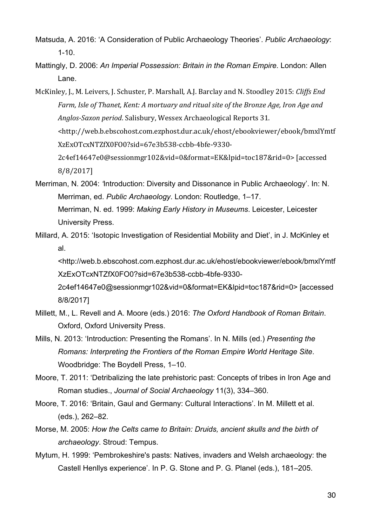- Matsuda, A. 2016: 'A Consideration of Public Archaeology Theories'. *Public Archaeology*:  $1 - 10$ .
- Mattingly, D. 2006: *An Imperial Possession: Britain in the Roman Empire*. London: Allen Lane.
- McKinley, J., M. Leivers, J. Schuster, P. Marshall, A.J. Barclay and N. Stoodley 2015: *Cliffs End Farm, Isle of Thanet, Kent: A mortuary and ritual site of the Bronze Age, Iron Age and Anglos-Saxon period*. Salisbury, Wessex Archaeological Reports 31. <http://web.b.ebscohost.com.ezphost.dur.ac.uk/ehost/ebookviewer/ebook/bmxlYmtf XzExOTcxNTZfX0FO0?sid=67e3b538-ccbb-4bfe-9330- 2c4ef14647e0@sessionmgr102&vid=0&format=EK&lpid=toc187&rid=0> [accessed 8/8/2017]
- Merriman, N. 2004: *'*Introduction: Diversity and Dissonance in Public Archaeology'. In: N. Merriman, ed. *Public Archaeology*. London: Routledge, 1–17. Merriman, N. ed. 1999: *Making Early History in Museums*. Leicester, Leicester University Press.
- Millard, A. 2015: 'Isotopic Investigation of Residential Mobility and Diet', in J. McKinley et al.

<http://web.b.ebscohost.com.ezphost.dur.ac.uk/ehost/ebookviewer/ebook/bmxlYmtf XzExOTcxNTZfX0FO0?sid=67e3b538-ccbb-4bfe-9330-

2c4ef14647e0@sessionmgr102&vid=0&format=EK&lpid=toc187&rid=0> [accessed 8/8/2017]

- Millett, M., L. Revell and A. Moore (eds.) 2016: *The Oxford Handbook of Roman Britain*. Oxford, Oxford University Press.
- Mills, N. 2013: 'Introduction: Presenting the Romans'. In N. Mills (ed.) *Presenting the Romans: Interpreting the Frontiers of the Roman Empire World Heritage Site*. Woodbridge: The Boydell Press, 1–10.
- Moore, T. 2011: 'Detribalizing the late prehistoric past: Concepts of tribes in Iron Age and Roman studies., *Journal of Social Archaeology* 11(3), 334–360.
- Moore, T. 2016: 'Britain, Gaul and Germany: Cultural Interactions'. In M. Millett et al. (eds.), 262–82.
- Morse, M. 2005: *How the Celts came to Britain: Druids, ancient skulls and the birth of archaeology*. Stroud: Tempus.
- Mytum, H. 1999: 'Pembrokeshire's pasts: Natives, invaders and Welsh archaeology: the Castell Henllys experience'. In P. G. Stone and P. G. Planel (eds.), 181–205.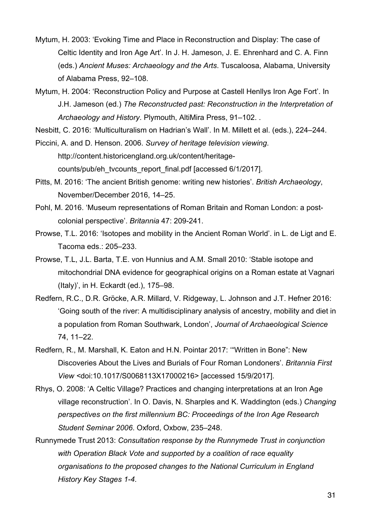- Mytum, H. 2003: 'Evoking Time and Place in Reconstruction and Display: The case of Celtic Identity and Iron Age Art'. In J. H. Jameson, J. E. Ehrenhard and C. A. Finn (eds.) *Ancient Muses: Archaeology and the Arts*. Tuscaloosa, Alabama, University of Alabama Press, 92–108.
- Mytum, H. 2004: 'Reconstruction Policy and Purpose at Castell Henllys Iron Age Fort'. In J.H. Jameson (ed.) *The Reconstructed past: Reconstruction in the Interpretation of Archaeology and History*. Plymouth, AltiMira Press, 91–102. .

Nesbitt, C. 2016: 'Multiculturalism on Hadrian's Wall'. In M. Millett et al. (eds.), 224–244.

Piccini, A. and D. Henson. 2006. *Survey of heritage television viewing*. http://content.historicengland.org.uk/content/heritagecounts/pub/eh\_tvcounts\_report\_final.pdf [accessed 6/1/2017].

- Pitts, M. 2016: 'The ancient British genome: writing new histories'. *British Archaeology*, November/December 2016, 14–25.
- Pohl, M. 2016. 'Museum representations of Roman Britain and Roman London: a postcolonial perspective'. *Britannia* 47: 209-241.
- Prowse, T.L. 2016: 'Isotopes and mobility in the Ancient Roman World'. in L. de Ligt and E. Tacoma eds.: 205–233.
- Prowse, T.L, J.L. Barta, T.E. von Hunnius and A.M. Small 2010: 'Stable isotope and mitochondrial DNA evidence for geographical origins on a Roman estate at Vagnari (Italy)', in H. Eckardt (ed.), 175–98.
- Redfern, R.C., D.R. Gröcke, A.R. Millard, V. Ridgeway, L. Johnson and J.T. Hefner 2016: 'Going south of the river: A multidisciplinary analysis of ancestry, mobility and diet in a population from Roman Southwark, London', *Journal of Archaeological Science* 74, 11–22.
- Redfern, R., M. Marshall, K. Eaton and H.N. Pointar 2017: '"Written in Bone": New Discoveries About the Lives and Burials of Four Roman Londoners'. *Britannia First View <*doi:10.1017/S0068113X17000216> [accessed 15/9/2017].
- Rhys, O. 2008: 'A Celtic Village? Practices and changing interpretations at an Iron Age village reconstruction'. In O. Davis, N. Sharples and K. Waddington (eds.) *Changing perspectives on the first millennium BC: Proceedings of the Iron Age Research Student Seminar 2006*. Oxford, Oxbow, 235–248.
- Runnymede Trust 2013: *Consultation response by the Runnymede Trust in conjunction with Operation Black Vote and supported by a coalition of race equality organisations to the proposed changes to the National Curriculum in England History Key Stages 1-4*.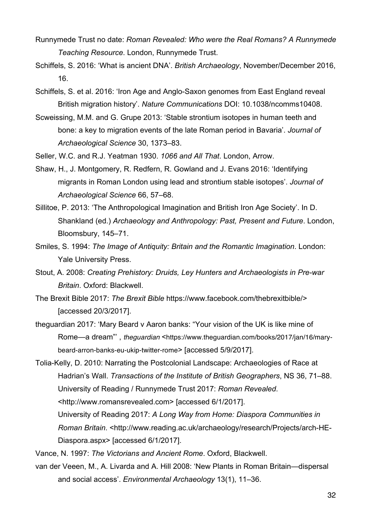- Runnymede Trust no date: *Roman Revealed: Who were the Real Romans? A Runnymede Teaching Resource*. London, Runnymede Trust.
- Schiffels, S. 2016: 'What is ancient DNA'. *British Archaeology*, November/December 2016, 16.
- Schiffels, S. et al. 2016: 'Iron Age and Anglo-Saxon genomes from East England reveal British migration history'. *Nature Communications* DOI: 10.1038/ncomms10408.
- Scweissing, M.M. and G. Grupe 2013: 'Stable strontium isotopes in human teeth and bone: a key to migration events of the late Roman period in Bavaria'. *Journal of Archaeological Science* 30, 1373–83.
- Seller, W.C. and R.J. Yeatman 1930. *1066 and All That*. London, Arrow.
- Shaw, H., J. Montgomery, R. Redfern, R. Gowland and J. Evans 2016: 'Identifying migrants in Roman London using lead and strontium stable isotopes'. *Journal of Archaeological Science* 66, 57–68.
- Sillitoe, P. 2013: 'The Anthropological Imagination and British Iron Age Society'. In D. Shankland (ed.) *Archaeology and Anthropology: Past, Present and Future*. London, Bloomsbury, 145–71.
- Smiles, S. 1994: *The Image of Antiquity: Britain and the Romantic Imagination*. London: Yale University Press.
- Stout, A. 2008: *Creating Prehistory: Druids, Ley Hunters and Archaeologists in Pre-war Britain*. Oxford: Blackwell.
- The Brexit Bible 2017: *The Brexit Bible* https://www.facebook.com/thebrexitbible/> [accessed 20/3/2017].
- theguardian 2017: 'Mary Beard v Aaron banks: "Your vision of the UK is like mine of Rome—a dream"' , *theguardian* <https://www.theguardian.com/books/2017/jan/16/marybeard-arron-banks-eu-ukip-twitter-rome> [accessed 5/9/2017].

Tolia-Kelly, D. 2010: Narrating the Postcolonial Landscape: Archaeologies of Race at Hadrian's Wall. *Transactions of the Institute of British Geographers*, NS 36, 71–88. University of Reading / Runnymede Trust 2017: *Roman Revealed*. <http://www.romansrevealed.com> [accessed 6/1/2017]. University of Reading 2017: *A Long Way from Home: Diaspora Communities in Roman Britain*. <http://www.reading.ac.uk/archaeology/research/Projects/arch-HE-Diaspora.aspx> [accessed 6/1/2017].

Vance, N. 1997: *The Victorians and Ancient Rome*. Oxford, Blackwell.

van der Veeen, M., A. Livarda and A. Hill 2008: 'New Plants in Roman Britain—dispersal and social access'. *Environmental Archaeology* 13(1), 11–36.